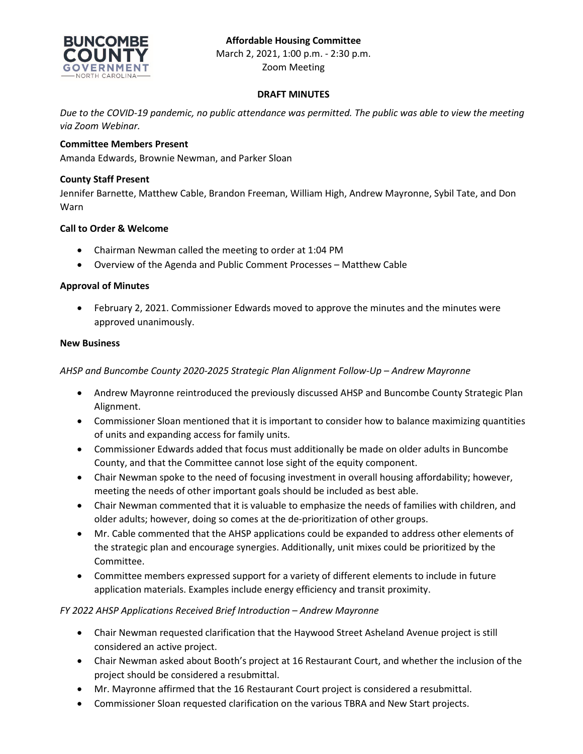

Zoom Meeting

### **DRAFT MINUTES**

*Due to the COVID-19 pandemic, no public attendance was permitted. The public was able to view the meeting via Zoom Webinar.*

### **Committee Members Present**

Amanda Edwards, Brownie Newman, and Parker Sloan

### **County Staff Present**

Jennifer Barnette, Matthew Cable, Brandon Freeman, William High, Andrew Mayronne, Sybil Tate, and Don Warn

### **Call to Order & Welcome**

- Chairman Newman called the meeting to order at 1:04 PM
- Overview of the Agenda and Public Comment Processes Matthew Cable

### **Approval of Minutes**

• February 2, 2021. Commissioner Edwards moved to approve the minutes and the minutes were approved unanimously.

#### **New Business**

### *AHSP and Buncombe County 2020-2025 Strategic Plan Alignment Follow-Up – Andrew Mayronne*

- Andrew Mayronne reintroduced the previously discussed AHSP and Buncombe County Strategic Plan Alignment.
- Commissioner Sloan mentioned that it is important to consider how to balance maximizing quantities of units and expanding access for family units.
- Commissioner Edwards added that focus must additionally be made on older adults in Buncombe County, and that the Committee cannot lose sight of the equity component.
- Chair Newman spoke to the need of focusing investment in overall housing affordability; however, meeting the needs of other important goals should be included as best able.
- Chair Newman commented that it is valuable to emphasize the needs of families with children, and older adults; however, doing so comes at the de-prioritization of other groups.
- Mr. Cable commented that the AHSP applications could be expanded to address other elements of the strategic plan and encourage synergies. Additionally, unit mixes could be prioritized by the Committee.
- Committee members expressed support for a variety of different elements to include in future application materials. Examples include energy efficiency and transit proximity.

# *FY 2022 AHSP Applications Received Brief Introduction – Andrew Mayronne*

- Chair Newman requested clarification that the Haywood Street Asheland Avenue project is still considered an active project.
- Chair Newman asked about Booth's project at 16 Restaurant Court, and whether the inclusion of the project should be considered a resubmittal.
- Mr. Mayronne affirmed that the 16 Restaurant Court project is considered a resubmittal.
- Commissioner Sloan requested clarification on the various TBRA and New Start projects.